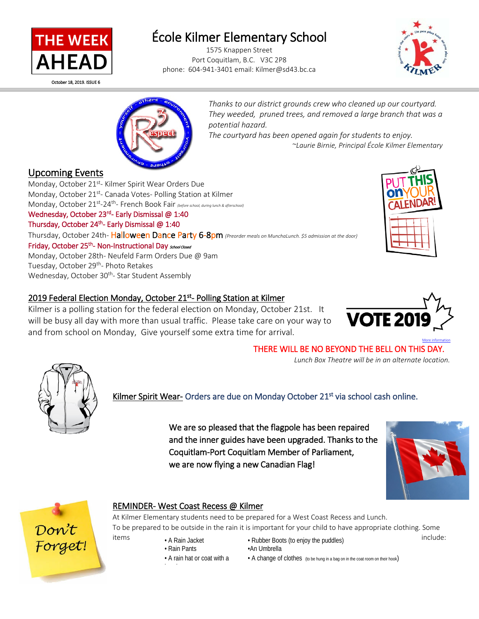

October 18, 2019. ISSUE 6

l

# École Kilmer Elementary School 1575 Knappen Street

Port Coquitlam, B.C. V3C 2P8 phone: 604-941-3401 email: Kilmer@sd43.bc.ca





*Thanks to our district grounds crew who cleaned up our courtyard. They weeded, pruned trees, and removed a large branch that was a potential hazard.* 

*The courtyard has been opened again for students to enjoy. ~Laurie Birnie, Principal École Kilmer Elementary* 

**Upcoming Events**<br>Monday, October 21<sup>st</sup>- Kilmer Spirit Wear Orders Due Monday, October 21<sup>st</sup>- Canada Votes- Polling Station at Kilmer Monday, October 21st-24th- French Book Fair *(before school, during lunch & afterschool)* Wednesday, October 23rd- Early Dismissal @ 1:40 Thursday, October 24<sup>th</sup>- Early Dismissal @ 1:40 Thursday, October 24th- Halloween Dance Party 6-8pm *(Preorder meals on MunchaLunch. \$5 admission at the door)* Friday, October 25<sup>th</sup>- Non-Instructional Day School Closed Monday, October 28th- Neufeld Farm Orders Due @ 9am Tuesday, October 29<sup>th</sup>- Photo Retakes Wednesday, October 30<sup>th</sup>- Star Student Assembly



## 2019 Federal Election Monday, October 21<sup>st</sup>- Polling Station at Kilmer

Kilmer is a polling station for the federal election on Monday, October 21st. It will be busy all day with more than usual traffic. Please take care on your way to and from school on Monday, Give yourself some extra time for arrival.



## THERE WILL BE NO BEYOND THE BELL ON THIS DAY.

 *Lunch Box Theatre will be in an alternate location.*



Kilmer Spirit Wear- Orders are due on Monday October 21<sup>st</sup> via school cash online.

We are so pleased that the flagpole has been repaired and the inner guides have been upgraded. Thanks to the Coquitlam-Port Coquitlam Member of Parliament, we are now flying a new Canadian Flag!





## REMINDER- West Coast Recess @ Kilmer

At Kilmer Elementary students need to be prepared for a West Coast Recess and Lunch. To be prepared to be outside in the rain it is important for your child to have appropriate clothing. Some

h d

- 
- A rain hat or coat with a
- items A Rain Jacket Rubber Boots (to enjoy the puddles) include: • Rain Pants • An Umbrella
	- A change of clothes (to be hung in a bag on in the coat room on their hook)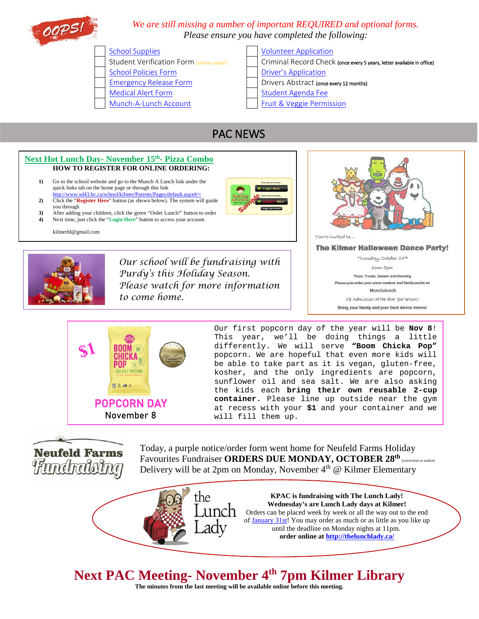

## *We are still missing a number of important REQUIRED and optional forms. Please ensure you have completed the following:*

[School Policies Form](https://www.schoolcashonline.com/) **[Driver's Application](https://www.schoolcashonline.com/)** [Emergency Release Form](http://www.sd43.bc.ca/Resources/eforms/Type1Diabetes/EmergencyRelease.pdf) **Drivers Abstract (once every 12 months)** [Medical Alert Form](http://www.sd43.bc.ca/Resources/eforms/MApdf/MedicalAlertForm.pdf) [Student Agenda Fee](https://www.schoolcashonline.com/) [Munch-A-Lunch Account](http://www.sd43.bc.ca/school/kilmer/Parents/Pages/default.aspx#/=) [Fruit & Veggie Permission](https://www.schoolcashonline.com/)

## [School Supplies](http://www.sd43.bc.ca/school/kilmer/Parents/SchoolSupplies/Pages/default.aspx#/=) **[Volunteer Application](https://www.schoolcashonline.com/)**

- Student Verification Form (yellow paper) | | Criminal Record Check (once every 5 years, letter available in office)
	-
	-
	-
	-

## PAC NEWS

#### **Next Hot Lunch Day- November 15th- Pizza Combo HOW TO REGISTER FOR ONLINE ORDERING: 1)** Go to the school website and go to the Munch A Lunch link under the quick links tab on the home page or through this link <http://www.sd43.bc.ca/school/kilmer/Parents/Pages/default.aspx#/=> **2)** Click the "**Register Here**" button (as shown below). The system will guide you through **3)** After adding your children, click the green "Order Lunch!" button to order<br> **4)** Next time, just click the "Login Here" button to access your account **4)** Next time, just click the "**Login Here**" button to access your account. kilmerhl@gmail.com You're invited to... **The Kilmer Halloween Dance Party!** Thursday, October 24th *Our school will be fundraising with*  Сри-8рт *Purdy's this Holiday Season.* Pizza, Treats, Games and Dancing .<br>Please pre-order your pizza combos and family packs on *Please watch for more information*  Munchalunch

*to come home.*

5\$ Admission at the door (per person) Bring your family and your best dance moves!



Our first popcorn day of the year will be **Nov 8**! This year, we'll be doing things a little differently. We will serve **"Boom Chicka Pop"** popcorn. We are hopeful that even more kids will be able to take part as it is vegan, gluten-free, kosher, and the only ingredients are popcorn, sunflower oil and sea salt. We are also asking the kids each **bring their own reusable 2-cup container.** Please line up outside near the gym at recess with your **\$1** and your container and we will fill them up.

**Neufeld Farms** Hundralvina

Today, a purple notice/order form went home for Neufeld Farms Holiday Favourites Fundraiser **ORDERS DUE MONDAY, OCTOBER 28<sup>th</sup>** (correction to notice) Delivery will be at 2pm on Monday, November  $4<sup>th</sup>$  @ Kilmer Elementary

> **KPAC is fundraising with The Lunch Lady! Wednesday's are Lunch Lady days at Kilmer!** unch Orders can be placed week by week or all the way out to the end of [January 31st!](x-apple-data-detectors://3/) You may order as much or as little as you like up until the deadline on Monday nights [at 11pm.](x-apple-data-detectors://5/) **order online at<http://thelunchlady.ca/>**

## **Next PAC Meeting- November 4th 7pm Kilmer Library**

L

the

**The minutes from the last meeting will be available online before this meeting.**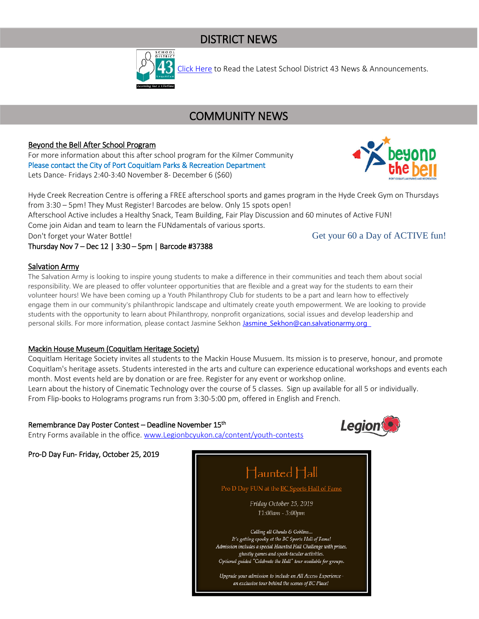## DISTRICT NEWS



[Click Here](http://www.sd43.bc.ca/Pages/newsarchive.aspx?ListID=ed550773-e9ff-4e20-9964-4e1b213f518c&TemplateID=Announcement_Archive#/=) to Read the Latest School District 43 News & Announcements.

## COMMUNITY NEWS

## Beyond the Bell After School Program

For more information about this after school program for the Kilmer Community Please contact the City of Port Coquitlam Parks & Recreation Department Lets Dance- Fridays 2:40-3:40 November 8- December 6 (\$60)



Hyde Creek Recreation Centre is offering a FREE afterschool sports and games program in the Hyde Creek Gym on Thursdays from 3:30 – 5pm! They Must Register! Barcodes are below. Only 15 spots open!

Afterschool Active includes a Healthy Snack, Team Building, Fair Play Discussion and 60 minutes of Active FUN! Come join Aidan and team to learn the FUNdamentals of various sports.

Don't forget your Water Bottle! Conservative Set your 60 a Day of ACTIVE fun!

Thursday Nov 7 – Dec 12 | 3:30 – 5pm | Barcode #37388

#### Salvation Army

The Salvation Army is looking to inspire young students to make a difference in their communities and teach them about social responsibility. We are pleased to offer volunteer opportunities that are flexible and a great way for the students to earn their volunteer hours! We have been coming up a Youth Philanthropy Club for students to be a part and learn how to effectively engage them in our community's philanthropic landscape and ultimately create youth empowerment. We are looking to provide students with the opportunity to learn about Philanthropy, nonprofit organizations, social issues and develop leadership and personal skills. For more information, please contact Jasmine Sekhon Jasmine Sekhon@can.salvationarmy.org

#### Mackin House Museum (Coquitlam Heritage Society)

Coquitlam Heritage Society invites all students to the Mackin House Musuem. Its mission is to preserve, honour, and promote Coquitlam's heritage assets. Students interested in the arts and culture can experience educational workshops and events each month. Most events held are by donation or are free. Register for any event or workshop online.

Learn about the history of Cinematic Technology over the course of 5 classes. Sign up available for all 5 or individually. From Flip-books to Holograms programs run from 3:30-5:00 pm, offered in English and French.

#### Remembrance Day Poster Contest – Deadline November 15th

Entry Forms available in the office. [www.Legionbcyukon.ca/content/youth-contests](http://www.legionbcyukon.ca/content/youth-contests) 



Pro-D Day Fun- Friday, October 25, 2019